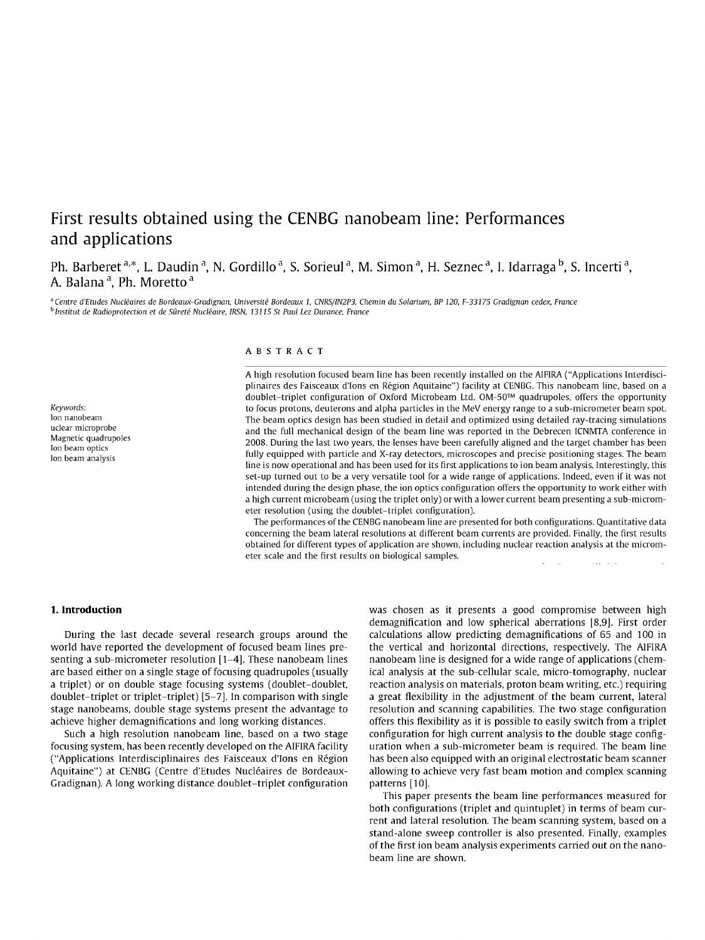# First results obtained using the CENBG nanobeam line: Performances and applications

Ph. Barberet <sup>a,\*</sup>, L. Daudin <sup>a</sup>, N. Gordillo <sup>a</sup>, S. Sorieul <sup>a</sup>, M. Simon <sup>a</sup>, H. Seznec <sup>a</sup>, I. Idarraga <sup>b</sup>, S. Incerti <sup>a</sup>, A. Balana<sup>a</sup>, Ph. Moretto<sup>a</sup>

*^Centre d'Etudes Nucleaires de Bordeaux-Cradignan, Universite Bordeaux 1, CNRS/IN2P3, Chemin du Solarium, BP 120, F-33175 Cradignan cedex, France*  <sup>b</sup> Institut de Radioprotection et de Sûreté Nucléaire, IRSN, 13115 St Paul Lez Durance, France

*Keywords:*  Ion nanobeam uclear microprobe Magnetic quadrupoles Ion beam optics Ion beam analysis

#### ABSTRAC T

A high resolution focused beam line has been recently installed on the AIFIRA ("Applications Interdisciplinaires des Faisceaux d'lons en Region Aquitaine") facility at CENBG. This nanobeam line, based on a doublet-triplet configuration of Oxford Microbeam Ltd. OM-50™ quadrupoles, offers the opportunity to focus protons, deuterons and alpha particles in the MeV energy range to a sub-micrometer beam spot. The beam optics design has been studied in detail and optimized using detailed ray-tracing simulations and the full mechanical design of the beam line was reported in the Debrecen ICNMTA conference in 2008. During the last two years, the lenses have been carefully aligned and the target chamber has been fully equipped with particle and X-ray detectors, microscopes and precise positioning stages. The beam line is now operational and has been used for its first applications to ion beam analysis. Interestingly, this set-up turned out to be a very versatile tool for a wide range of applications. Indeed, even if it was not intended during the design phase, the ion optics configuration offers the opportunity to work either with a high current microbeam (using the triplet only) or with a lower current beam presenting a sub-micrometer resolution (using the doublet-triplet configuration).

The performances of the CENBG nanobeam line are presented for both configurations. Quantitative data concerning the beam lateral resolutions at different beam currents are provided. Finally, the first results obtained for different types of application are shown, including nuclear reaction analysis at the micrometer scale and the first results on biological samples.

## **1. Introduction**

During the last decade several research groups around the world have reported the development of focused beam lines presenting a sub-micrometer resolution [1-4]. These nanobeam lines are based either on a single stage of focusing quadrupoles (usually a triplet) or on double stage focusing systems (doublet-doublet, doublet-triplet or triplet-triplet) [5-7]. In comparison with single stage nanobeams, double stage systems present the advantage to achieve higher demagnifications and long working distances.

Such a high resolution nanobeam line, based on a two stage focusing system, has been recently developed on the AIFIRA facility ("Applications Interdisciplinaires des Faisceaux d'lons en Region Aquitaine") at CENBG (Centre d'Etudes Nucléaires de Bordeaux-Gradignan). A long working distance doublet-triplet configuration was chosen as it presents a good compromise between high demagnification and low spherical aberrations [8,9]. First order calculations allow predicting demagnifications of 65 and 100 in the vertical and horizontal directions, respectively. The AIFIRA nanobeam line is designed for a wide range of applications (chemical analysis at the sub-cellular scale, micro-tomography, nuclear reaction analysis on materials, proton beam writing, etc.) requiring a great flexibility in the adjustment of the beam current, lateral resolution and scanning capabilities. The two stage configuration offers this flexibility as it is possible to easily switch from a triplet configuration for high current analysis to the double stage configuration when a sub-micrometer beam is required. The beam line has been also equipped with an original electrostatic beam scanner allowing to achieve very fast beam motion and complex scanning patterns [10].

This paper presents the beam line performances measured for both configurations (triplet and quintuplet) in terms of beam current and lateral resolution. The beam scanning system, based on a stand-alone sweep controller is also presented. Finally, examples of the first ion beam analysis experiments carried out on the nanobeam line are shown.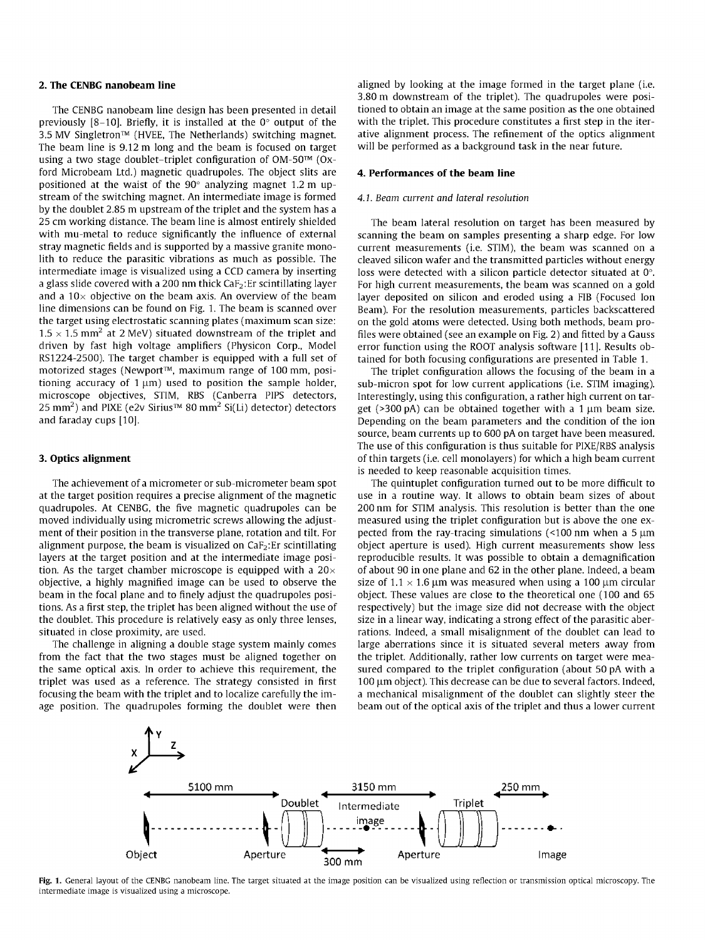## **2. The CENBG nanobeam line**

The CENBG nanobeam line design has been presented in detail previously  $[8-10]$ . Briefly, it is installed at the  $0^{\circ}$  output of the 3.5 MV Singletron™ (HVEE, The Netherlands) switching magnet. The beam line is 9.12 m long and the beam is focused on target using a two stage doublet-triplet configuration of OM-50™ (Oxford Microbeam Ltd.) magnetic quadrupoles. The object slits are positioned at the waist of the 90° analyzing magnet 1.2 m upstream of the switching magnet. An intermediate image is formed by the doublet 2.85 m upstream of the triplet and the system has a 25 cm working distance. The beam line is almost entirely shielded with mu-metal to reduce significantly the influence of external stray magnetic fields and is supported by a massive granite monolith to reduce the parasitic vibrations as much as possible. The intermediate image is visualized using a CCD camera by inserting a glass slide covered with a 200 nm thick  $CaF<sub>2</sub>:Er scintillating layer$ and a  $10\times$  objective on the beam axis. An overview of the beam line dimensions can be found on Fig. 1. The beam is scanned over the target using electrostatic scanning plates (maximum scan size:  $1.5 \times 1.5$  mm<sup>2</sup> at 2 MeV) situated downstream of the triplet and driven by fast high voltage amplifiers (Physicon Corp., Model RS1224-2500). The target chamber is equipped with a full set of motorized stages (Newport™, maximum range of 100 mm, positioning accuracy of  $1 \mu m$ ) used to position the sample holder, microscope objectives, STIM, RBS (Canberra PIPS detectors,  $25 \text{ mm}^2$ ) and PIXE (e2v Sirius™ 80 mm<sup>2</sup> Si(Li) detector) detectors and faraday cups [10].

## **3. Optics alignment**

The achievement of a micrometer or sub-micrometer beam spot at the target position requires a precise alignment of the magnetic quadrupoles. At CENBG, the five magnetic quadrupoles can be moved individually using micrometric screws allowing the adjustment of their position in the transverse plane, rotation and tilt. For alignment purpose, the beam is visualized on  $CaF<sub>2</sub>:Er$  scintillating layers at the target position and at the intermediate image position. As the target chamber microscope is equipped with a  $20\times$ objective, a highly magnified image can be used to observe the beam in the focal plane and to finely adjust the quadrupoles positions. As a first step, the triplet has been aligned without the use of the doublet. This procedure is relatively easy as only three lenses, situated in close proximity, are used.

The challenge in aligning a double stage system mainly comes from the fact that the two stages must be aligned together on the same optical axis. In order to achieve this requirement, the triplet was used as a reference. The strategy consisted in first focusing the beam with the triplet and to localize carefully the image position. The quadrupoles forming the doublet were then aligned by looking at the image formed in the target plane (i.e. 3.80 m downstream of the triplet). The quadrupoles were positioned to obtain an image at the same position as the one obtained with the triplet. This procedure constitutes a first step in the iterative alignment process. The refinement of the optics alignment will be performed as a background task in the near future.

#### **4. Performances of the beam line**

#### *4.1. Beam current and lateral resolution*

The beam lateral resolution on target has been measured by scanning the beam on samples presenting a sharp edge. For low current measurements (i.e. STIM), the beam was scanned on a cleaved silicon wafer and the transmitted particles without energy loss were detected with a silicon particle detector situated at 0°. For high current measurements, the beam was scanned on a gold layer deposited on silicon and eroded using a FIB (Focused Ion Beam). For the resolution measurements, particles backscattered on the gold atoms were detected. Using both methods, beam profiles were obtained (see an example on Fig. 2) and fitted by a Gauss error function using the ROOT analysis software [11]. Results obtained for both focusing configurations are presented in Table 1.

The triplet configuration allows the focusing of the beam in a sub-micron spot for low current applications (i.e. STIM imaging). Interestingly, using this configuration, a rather high current on target ( $>$ 300 pA) can be obtained together with a 1  $\mu$ m beam size. Depending on the beam parameters and the condition of the ion source, beam currents up to 600 pA on target have been measured. The use of this configuration is thus suitable for PIXE/RBS analysis of thin targets (i.e. cell monolayers) for which a high beam current is needed to keep reasonable acquisition times.

The quintuplet configuration turned out to be more difficult to use in a routine way. It allows to obtain beam sizes of about 200 nm for STIM analysis. This resolution is better than the one measured using the triplet configuration but is above the one expected from the ray-tracing simulations  $\left($  <100 nm when a 5  $\mu$ m object aperture is used). High current measurements show less reproducible results. It was possible to obtain a demagnification of about 90 in one plane and 62 in the other plane. Indeed, a beam size of  $1.1 \times 1.6$  µm was measured when using a 100 µm circular object. These values are close to the theoretical one (100 and 65 respectively) but the image size did not decrease with the object size in a linear way, indicating a strong effect of the parasitic aberrations. Indeed, a small misalignment of the doublet can lead to large aberrations since it is situated several meters away from the triplet. Additionally, rather low currents on target were measured compared to the triplet configuration (about 50 pA with a 100  $\mu$ m object). This decrease can be due to several factors. Indeed, a mechanical misalignment of the doublet can slightly steer the beam out of the optical axis of the triplet and thus a lower current



Fig. 1. General layout of the CENBG nanobeam line. The target situated at the image position can be visualized using reflection or transmission optical microscopy. The intermediate image is visualized using a microscope.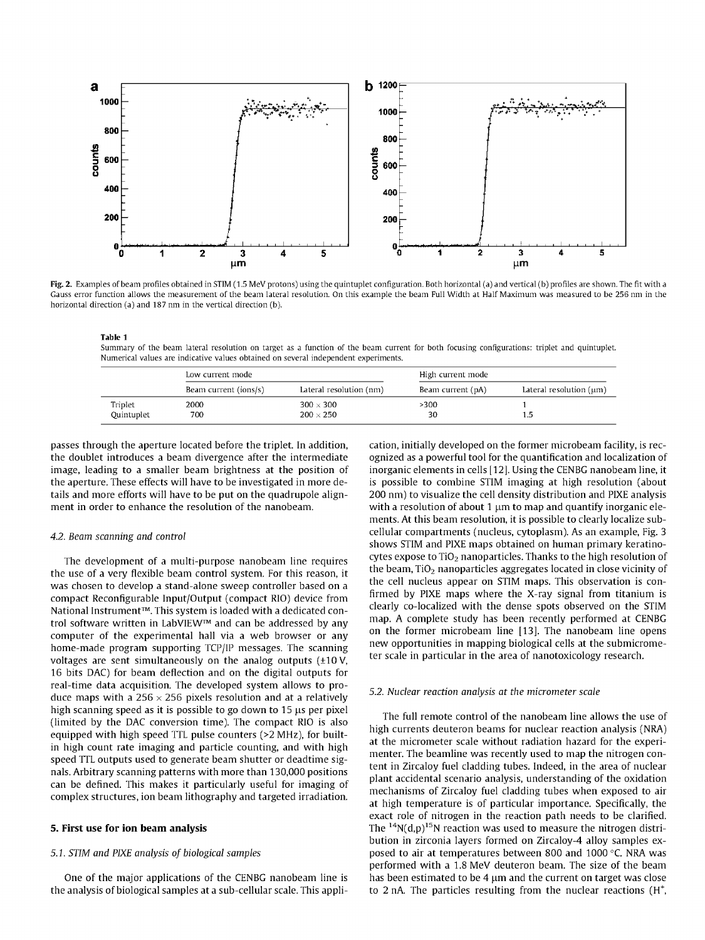

**Fig. 2.** Examples of beam profiles obtained in STIM (1.5 MeV protons) using the quintuplet configuration. Both horizontal (a) and vertical (b) profiles are shown. The fit with a Gauss error function allows the measurement of the beam lateral resolution. On this example the beam Full Width at Half Maximum was measured to be 256 nm in the horizontal direction (a) and 187 nm in the vertical direction (b).

#### **Table 1**

Summary of the beam lateral resolution on target as a function of the beam current for both focusing configurations: triplet and quintuplet Numerical values are indicative values obtained on several independent experiments.

|                       | Low current mode      |                                      | High current mode |                              |
|-----------------------|-----------------------|--------------------------------------|-------------------|------------------------------|
|                       | Beam current (ions/s) | Lateral resolution (nm)              | Beam current (pA) | Lateral resolution $(\mu m)$ |
| Triplet<br>Quintuplet | 2000<br>700           | $300 \times 300$<br>$200 \times 250$ | >300<br>30        | L.5                          |

passes through the aperture located before the triplet. In addition, the doublet introduces a beam divergence after the intermediate image, leading to a smaller beam brightness at the position of the aperture. These effects will have to be investigated in more details and more efforts will have to be put on the quadrupole alignment in order to enhance the resolution of the nanobeam.

### *4.2. Beam scanning and control*

The development of a multi-purpose nanobeam line requires the use of a very flexible beam control system. For this reason, it was chosen to develop a stand-alone sweep controller based on a compact Reconfigurable Input/Output (compact RIO) device from National Instrument™. This system is loaded with a dedicated control software written in LabVIEW™ and can be addressed by any computer of the experimental hall via a web browser or any home-made program supporting TCP/IP messages. The scanning voltages are sent simultaneously on the analog outputs (±10 V, 16 bits DAC) for beam deflection and on the digital outputs for real-time data acquisition. The developed system allows to produce maps with a  $256 \times 256$  pixels resolution and at a relatively high scanning speed as it is possible to go down to  $15 \mu s$  per pixel (limited by the DAC conversion time). The compact RIO is also equipped with high speed TTL pulse counters (>2 MHz), for builtin high count rate imaging and particle counting, and with high speed TTL outputs used to generate beam shutter or deadtime signals. Arbitrary scanning patterns with more than 130,000 positions can be defined. This makes it particularly useful for imaging of complex structures, ion beam lithography and targeted irradiation.

## **5. First use for ion beam analysis**

## *5.1. STIM and PIXE analysis of biological samples*

One of the major applications of the CENBG nanobeam line is the analysis of biological samples at a sub-cellular scale. This application, initially developed on the former microbeam facility, is recognized as a powerful tool for the quantification and localization of inorganic elements in cells [12]. Using the CENBG nanobeam line, it is possible to combine STIM imaging at high resolution (about 200 nm) to visualize the cell density distribution and PIXE analysis with a resolution of about 1  $\mu$ m to map and quantify inorganic elements. At this beam resolution, it is possible to clearly localize subcellular compartments (nucleus, cytoplasm). As an example, Fig. 3 shows STIM and PIXE maps obtained on human primary keratinocytes expose to  $TiO<sub>2</sub>$  nanoparticles. Thanks to the high resolution of the beam,  $TiO<sub>2</sub>$  nanoparticles aggregates located in close vicinity of the cell nucleus appear on STIM maps. This observation is confirmed by PIXE maps where the X-ray signal from titanium is clearly co-localized with the dense spots observed on the STIM map. A complete study has been recently performed at CENBG on the former microbeam line [13]. The nanobeam line opens new opportunities in mapping biological cells at the submicrometer scale in particular in the area of nanotoxicology research.

#### *5.2. Nuclear reaction analysis at the micrometer scale*

The full remote control of the nanobeam line allows the use of high currents deuteron beams for nuclear reaction analysis (NRA) at the micrometer scale without radiation hazard for the experimenter. The beamline was recently used to map the nitrogen content in Zircaloy fuel cladding tubes. Indeed, in the area of nuclear plant accidental scenario analysis, understanding of the oxidation mechanisms of Zircaloy fuel cladding tubes when exposed to air at high temperature is of particular importance. Specifically, the exact role of nitrogen in the reaction path needs to be clarified. The  $^{14}$ N(d,p)<sup>15</sup>N reaction was used to measure the nitrogen distribution in zirconia layers formed on Zircaloy-4 alloy samples exposed to air at temperatures between 800 and 1000 °C. NRA was performed with a 1.8 MeV deuteron beam. The size of the beam has been estimated to be  $4 \mu m$  and the current on target was close to 2 nA The particles resulting from the nuclear reactions (H<sup>+</sup> ,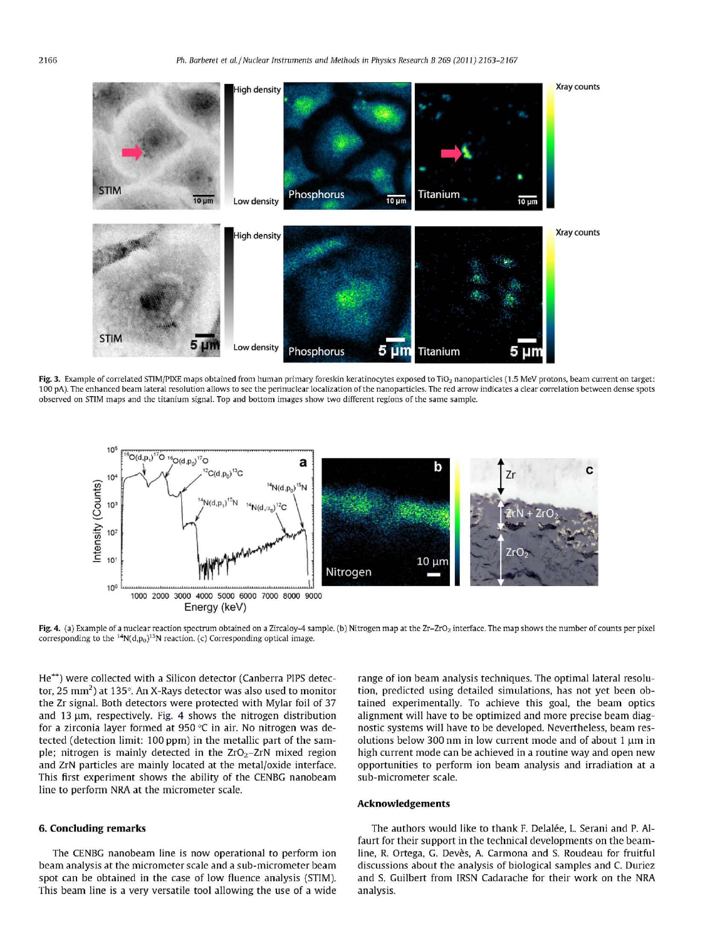

<span id="page-3-0"></span>Fig. 3. Example of correlated STIM/PIXE maps obtained from human primary foreskin keratinocytes exposed to TiO<sub>2</sub> nanoparticles (1.5 MeV protons, beam current on target: 100 pA). The enhanced beam lateral resolution allows to see the perinuclear localization of the nanoparticles. The red arrow indicates a clear correlation between dense spots observed on STIM maps and the titanium signal. Top and bottom images show two different regions of the same sample.



Fig. 4. (a) Example of a nuclear reaction spectrum obtained on a Zircaloy-4 sample. (b) Nitrogen map at the Zr-ZrO<sub>2</sub> interface. The map shows the number of counts per pixel corresponding to the  $14N(d,p_0)^{15}N$  reaction. (c) Corresponding optical image.

He<sup>++</sup>) were collected with a Silicon detector (Canberra PIPS detector,  $25 \text{ mm}^2$ ) at  $135^\circ$ . An X-Rays detector was also used to monitor the Zr signal. Both detectors were protected with Mylar foil of 37 and 13 µm, respectively. [Fig. 4](#page-3-0) shows the nitrogen distribution for a zirconia layer formed at 950 **°**C in air. No nitrogen was detected (detection limit: 100 ppm) in the metallic part of the sample; nitrogen is mainly detected in the  $ZrO<sub>2</sub>-ZrN$  mixed region and ZrN particles are mainly located at the metal/oxide interface. This first experiment shows the ability of the CENBG nanobeam line to perform NRA at the micrometer scale.

## 6. Concluding remarks

The CENBG nanobeam line is now operational to perform ion beam analysis at the micrometer scale and a sub-micrometer beam spot can be obtained in the case of low fluence analysis (STIM). This beam line is a very versatile tool allowing the use of a wide range of ion beam analysis techniques. The optimal lateral resolution, predicted using detailed simulations, has not yet been obtained experimentally. To achieve this goal, the beam optics alignment will have to be optimized and more precise beam diagnostic systems will have to be developed. Nevertheless, beam resolutions below 300 nm in low current mode and of about  $1 \mu m$  in high current mode can be achieved in a routine way and open new opportunities to perform ion beam analysis and irradiation at a sub-micrometer scale.

### Acknowledgements

The authors would like to thank F. Delalée, L. Serani and P. Alfaurt for their support in the technical developments on the beamline, R. Ortega, G. Devès, A. Carmona and S. Roudeau for fruitful discussions about the analysis of biological samples and C. Duriez and S. Guilbert from IRSN Cadarache for their work on the NRA analysis.